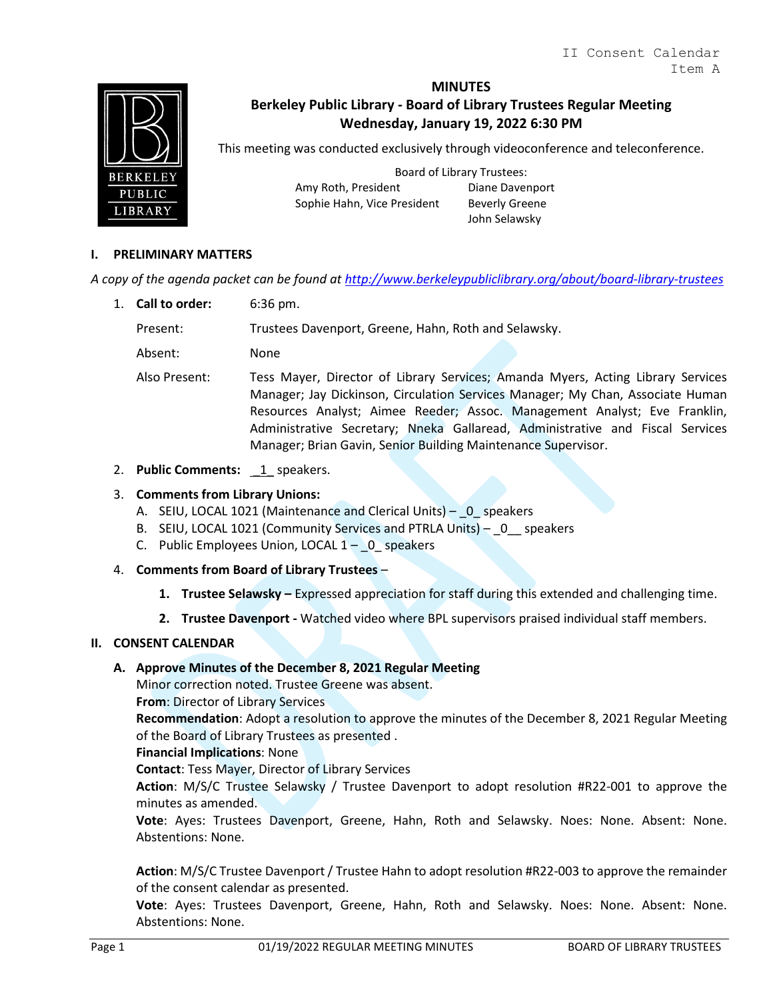

# **MINUTES Berkeley Public Library - Board of Library Trustees Regular Meeting Wednesday, January 19, 2022 6:30 PM**

This meeting was conducted exclusively through videoconference and teleconference.

Board of Library Trustees: Amy Roth, President Diane Davenport Sophie Hahn, Vice President Beverly Greene

John Selawsky

## **I. PRELIMINARY MATTERS**

*A copy of the agenda packet can be found at<http://www.berkeleypubliclibrary.org/about/board-library-trustees>*

1. **Call to order:** 6:36 pm.

Present: Trustees Davenport, Greene, Hahn, Roth and Selawsky.

Absent: None

Also Present: Tess Mayer, Director of Library Services; Amanda Myers, Acting Library Services Manager; Jay Dickinson, Circulation Services Manager; My Chan, Associate Human Resources Analyst; Aimee Reeder; Assoc. Management Analyst; Eve Franklin, Administrative Secretary; Nneka Gallaread, Administrative and Fiscal Services Manager; Brian Gavin, Senior Building Maintenance Supervisor.

2. **Public Comments:** 1 speakers.

#### 3. **Comments from Library Unions:**

- A. SEIU, LOCAL 1021 (Maintenance and Clerical Units) \_0\_ speakers
- B. SEIU, LOCAL 1021 (Community Services and PTRLA Units) 0 speakers
- C. Public Employees Union, LOCAL  $1 0$  speakers
- 4. **Comments from Board of Library Trustees**
	- **1. Trustee Selawsky –** Expressed appreciation for staff during this extended and challenging time.
	- **2. Trustee Davenport -** Watched video where BPL supervisors praised individual staff members.

### **II. CONSENT CALENDAR**

### **A. Approve Minutes of the December 8, 2021 Regular Meeting**

Minor correction noted. Trustee Greene was absent.

**From**: Director of Library Services

**Recommendation**: Adopt a resolution to approve the minutes of the December 8, 2021 Regular Meeting of the Board of Library Trustees as presented .

#### **Financial Implications**: None

**Contact**: Tess Mayer, Director of Library Services

**Action**: M/S/C Trustee Selawsky / Trustee Davenport to adopt resolution #R22-001 to approve the minutes as amended.

**Vote**: Ayes: Trustees Davenport, Greene, Hahn, Roth and Selawsky. Noes: None. Absent: None. Abstentions: None.

**Action**: M/S/C Trustee Davenport / Trustee Hahn to adopt resolution #R22-003 to approve the remainder of the consent calendar as presented.

**Vote**: Ayes: Trustees Davenport, Greene, Hahn, Roth and Selawsky. Noes: None. Absent: None. Abstentions: None.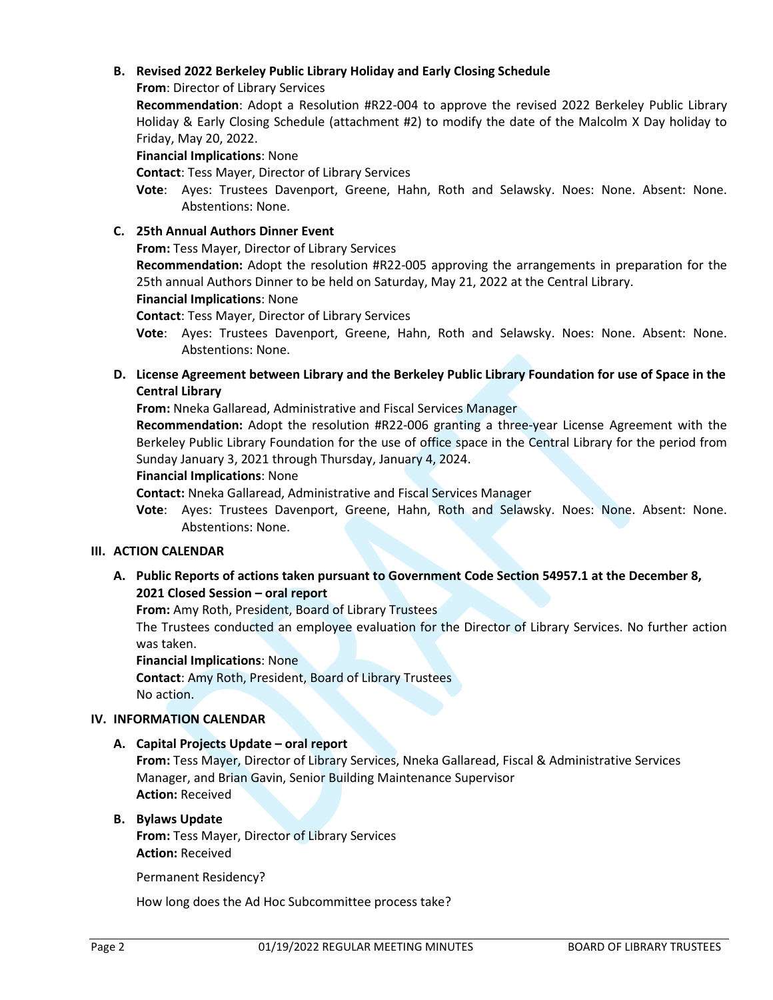### **B. Revised 2022 Berkeley Public Library Holiday and Early Closing Schedule**

**From**: Director of Library Services

**Recommendation**: Adopt a Resolution #R22-004 to approve the revised 2022 Berkeley Public Library Holiday & Early Closing Schedule (attachment #2) to modify the date of the Malcolm X Day holiday to Friday, May 20, 2022.

#### **Financial Implications**: None

**Contact**: Tess Mayer, Director of Library Services

**Vote**: Ayes: Trustees Davenport, Greene, Hahn, Roth and Selawsky. Noes: None. Absent: None. Abstentions: None.

### **C. 25th Annual Authors Dinner Event**

**From:** Tess Mayer, Director of Library Services

**Recommendation:** Adopt the resolution #R22-005 approving the arrangements in preparation for the 25th annual Authors Dinner to be held on Saturday, May 21, 2022 at the Central Library.

**Financial Implications**: None

**Contact**: Tess Mayer, Director of Library Services

**Vote**: Ayes: Trustees Davenport, Greene, Hahn, Roth and Selawsky. Noes: None. Absent: None. Abstentions: None.

**D. License Agreement between Library and the Berkeley Public Library Foundation for use of Space in the Central Library** 

**From:** Nneka Gallaread, Administrative and Fiscal Services Manager

**Recommendation:** Adopt the resolution #R22-006 granting a three-year License Agreement with the Berkeley Public Library Foundation for the use of office space in the Central Library for the period from Sunday January 3, 2021 through Thursday, January 4, 2024.

#### **Financial Implications**: None

**Contact:** Nneka Gallaread, Administrative and Fiscal Services Manager

**Vote**: Ayes: Trustees Davenport, Greene, Hahn, Roth and Selawsky. Noes: None. Absent: None. Abstentions: None.

### **III. ACTION CALENDAR**

**A. Public Reports of actions taken pursuant to Government Code Section 54957.1 at the December 8, 2021 Closed Session – oral report**

**From:** Amy Roth, President, Board of Library Trustees

The Trustees conducted an employee evaluation for the Director of Library Services. No further action was taken.

**Financial Implications**: None

**Contact**: Amy Roth, President, Board of Library Trustees No action.

### **IV. INFORMATION CALENDAR**

### **A. Capital Projects Update – oral report**

**From:** Tess Mayer, Director of Library Services, Nneka Gallaread, Fiscal & Administrative Services Manager, and Brian Gavin, Senior Building Maintenance Supervisor **Action:** Received

### **B. Bylaws Update**

**From:** Tess Mayer, Director of Library Services **Action:** Received

Permanent Residency?

How long does the Ad Hoc Subcommittee process take?